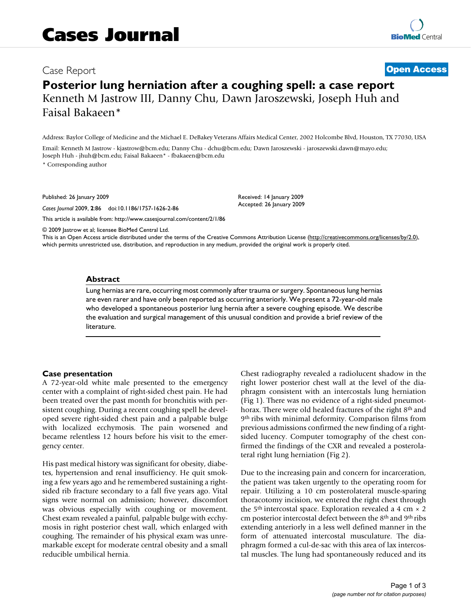## Case Report **[Open Access](http://www.biomedcentral.com/info/about/charter/)**

# **Posterior lung herniation after a coughing spell: a case report** Kenneth M Jastrow III, Danny Chu, Dawn Jaroszewski, Joseph Huh and Faisal Bakaeen\*

Address: Baylor College of Medicine and the Michael E. DeBakey Veterans Affairs Medical Center, 2002 Holcombe Blvd, Houston, TX 77030, USA

Email: Kenneth M Jastrow - kjastrow@bcm.edu; Danny Chu - dchu@bcm.edu; Dawn Jaroszewski - jaroszewski.dawn@mayo.edu; Joseph Huh - jhuh@bcm.edu; Faisal Bakaeen\* - fbakaeen@bcm.edu

\* Corresponding author

Published: 26 January 2009

*Cases Journal* 2009, **2**:86 doi:10.1186/1757-1626-2-86

[This article is available from: http://www.casesjournal.com/content/2/1/86](http://www.casesjournal.com/content/2/1/86)

Received: 14 January 2009 Accepted: 26 January 2009

© 2009 Jastrow et al; licensee BioMed Central Ltd.

This is an Open Access article distributed under the terms of the Creative Commons Attribution License [\(http://creativecommons.org/licenses/by/2.0\)](http://creativecommons.org/licenses/by/2.0), which permits unrestricted use, distribution, and reproduction in any medium, provided the original work is properly cited.

#### **Abstract**

Lung hernias are rare, occurring most commonly after trauma or surgery. Spontaneous lung hernias are even rarer and have only been reported as occurring anteriorly. We present a 72-year-old male who developed a spontaneous posterior lung hernia after a severe coughing episode. We describe the evaluation and surgical management of this unusual condition and provide a brief review of the literature.

#### **Case presentation**

A 72-year-old white male presented to the emergency center with a complaint of right-sided chest pain. He had been treated over the past month for bronchitis with persistent coughing. During a recent coughing spell he developed severe right-sided chest pain and a palpable bulge with localized ecchymosis. The pain worsened and became relentless 12 hours before his visit to the emergency center.

His past medical history was significant for obesity, diabetes, hypertension and renal insufficiency. He quit smoking a few years ago and he remembered sustaining a rightsided rib fracture secondary to a fall five years ago. Vital signs were normal on admission; however, discomfort was obvious especially with coughing or movement. Chest exam revealed a painful, palpable bulge with ecchymosis in right posterior chest wall, which enlarged with coughing. The remainder of his physical exam was unremarkable except for moderate central obesity and a small reducible umbilical hernia.

Chest radiography revealed a radiolucent shadow in the right lower posterior chest wall at the level of the diaphragm consistent with an intercostals lung herniation (Fig 1). There was no evidence of a right-sided pneumothorax. There were old healed fractures of the right 8<sup>th</sup> and 9th ribs with minimal deformity. Comparison films from previous admissions confirmed the new finding of a rightsided lucency. Computer tomography of the chest confirmed the findings of the CXR and revealed a posterolateral right lung herniation (Fig 2).

Due to the increasing pain and concern for incarceration, the patient was taken urgently to the operating room for repair. Utilizing a 10 cm posterolateral muscle-sparing thoracotomy incision, we entered the right chest through the 5<sup>th</sup> intercostal space. Exploration revealed a 4 cm  $\times$  2 cm posterior intercostal defect between the 8th and 9th ribs extending anteriorly in a less well defined manner in the form of attenuated intercostal musculature. The diaphragm formed a cul-de-sac with this area of lax intercostal muscles. The lung had spontaneously reduced and its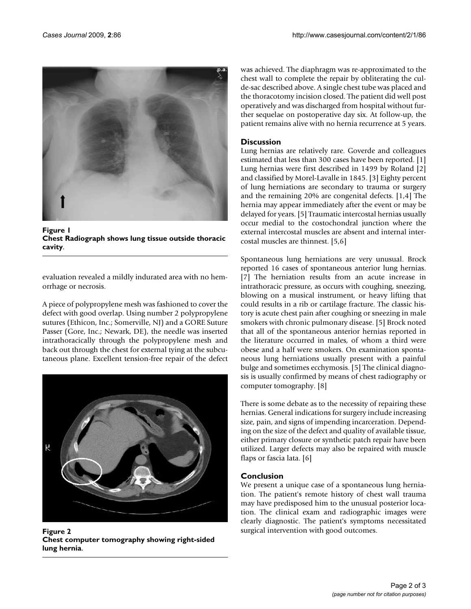

Figure 1 **Chest Radiograph shows lung tissue outside thoracic cavity**.

evaluation revealed a mildly indurated area with no hemorrhage or necrosis.

A piece of polypropylene mesh was fashioned to cover the defect with good overlap. Using number 2 polypropylene sutures (Ethicon, Inc.; Somerville, NJ) and a GORE Suture Passer (Gore, Inc.; Newark, DE), the needle was inserted intrathoracically through the polypropylene mesh and back out through the chest for external tying at the subcutaneous plane. Excellent tension-free repair of the defect



Figure 2 **Chest computer tomography showing right-sided lung hernia**.

was achieved. The diaphragm was re-approximated to the chest wall to complete the repair by obliterating the culde-sac described above. A single chest tube was placed and the thoracotomy incision closed. The patient did well post operatively and was discharged from hospital without further sequelae on postoperative day six. At follow-up, the patient remains alive with no hernia recurrence at 5 years.

## **Discussion**

Lung hernias are relatively rare. Goverde and colleagues estimated that less than 300 cases have been reported. [1] Lung hernias were first described in 1499 by Roland [2] and classified by Morel-Lavalle in 1845. [3] Eighty percent of lung herniations are secondary to trauma or surgery and the remaining 20% are congenital defects. [1,4] The hernia may appear immediately after the event or may be delayed for years. [5] Traumatic intercostal hernias usually occur medial to the costochondral junction where the external intercostal muscles are absent and internal intercostal muscles are thinnest. [5,6]

Spontaneous lung herniations are very unusual. Brock reported 16 cases of spontaneous anterior lung hernias. [7] The herniation results from an acute increase in intrathoracic pressure, as occurs with coughing, sneezing, blowing on a musical instrument, or heavy lifting that could results in a rib or cartilage fracture. The classic history is acute chest pain after coughing or sneezing in male smokers with chronic pulmonary disease. [5] Brock noted that all of the spontaneous anterior hernias reported in the literature occurred in males, of whom a third were obese and a half were smokers. On examination spontaneous lung herniations usually present with a painful bulge and sometimes ecchymosis. [5] The clinical diagnosis is usually confirmed by means of chest radiography or computer tomography. [8]

There is some debate as to the necessity of repairing these hernias. General indications for surgery include increasing size, pain, and signs of impending incarceration. Depending on the size of the defect and quality of available tissue, either primary closure or synthetic patch repair have been utilized. Larger defects may also be repaired with muscle flaps or fascia lata. [6]

## **Conclusion**

We present a unique case of a spontaneous lung herniation. The patient's remote history of chest wall trauma may have predisposed him to the unusual posterior location. The clinical exam and radiographic images were clearly diagnostic. The patient's symptoms necessitated surgical intervention with good outcomes.